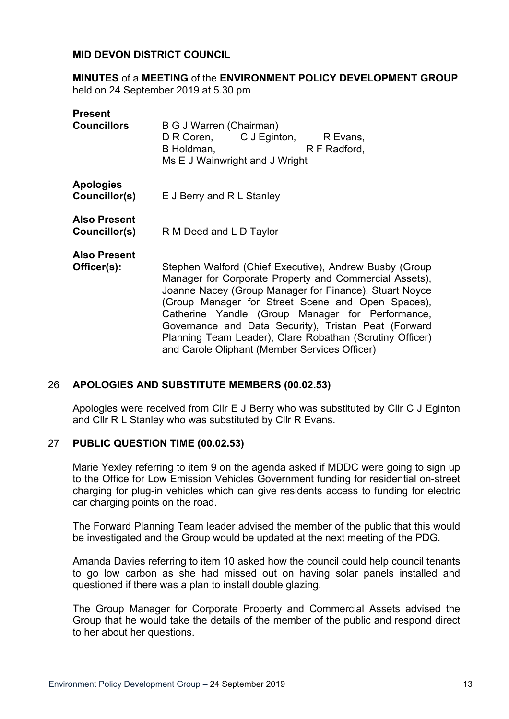#### **MID DEVON DISTRICT COUNCIL**

**MINUTES** of a **MEETING** of the **ENVIRONMENT POLICY DEVELOPMENT GROUP** held on 24 September 2019 at 5.30 pm

| <b>Present</b><br><b>Councillors</b>     | B G J Warren (Chairman)<br>D R Coren, C J Eginton, R Evans,<br>B Holdman,<br>R F Radford,<br>Ms E J Wainwright and J Wright                                                                                                                                                                                                                                                                                                                              |
|------------------------------------------|----------------------------------------------------------------------------------------------------------------------------------------------------------------------------------------------------------------------------------------------------------------------------------------------------------------------------------------------------------------------------------------------------------------------------------------------------------|
| <b>Apologies</b><br><b>Councillor(s)</b> | E J Berry and R L Stanley                                                                                                                                                                                                                                                                                                                                                                                                                                |
| <b>Also Present</b><br>Councillor(s)     | R M Deed and L D Taylor                                                                                                                                                                                                                                                                                                                                                                                                                                  |
| <b>Also Present</b><br>Officer(s):       | Stephen Walford (Chief Executive), Andrew Busby (Group<br>Manager for Corporate Property and Commercial Assets),<br>Joanne Nacey (Group Manager for Finance), Stuart Noyce<br>(Group Manager for Street Scene and Open Spaces),<br>Catherine Yandle (Group Manager for Performance,<br>Governance and Data Security), Tristan Peat (Forward<br>Planning Team Leader), Clare Robathan (Scrutiny Officer)<br>and Carole Oliphant (Member Services Officer) |

### 26 **APOLOGIES AND SUBSTITUTE MEMBERS (00.02.53)**

Apologies were received from Cllr E J Berry who was substituted by Cllr C J Eginton and Cllr R L Stanley who was substituted by Cllr R Evans.

#### 27 **PUBLIC QUESTION TIME (00.02.53)**

Marie Yexley referring to item 9 on the agenda asked if MDDC were going to sign up to the Office for Low Emission Vehicles Government funding for residential on-street charging for plug-in vehicles which can give residents access to funding for electric car charging points on the road.

The Forward Planning Team leader advised the member of the public that this would be investigated and the Group would be updated at the next meeting of the PDG.

Amanda Davies referring to item 10 asked how the council could help council tenants to go low carbon as she had missed out on having solar panels installed and questioned if there was a plan to install double glazing.

The Group Manager for Corporate Property and Commercial Assets advised the Group that he would take the details of the member of the public and respond direct to her about her questions.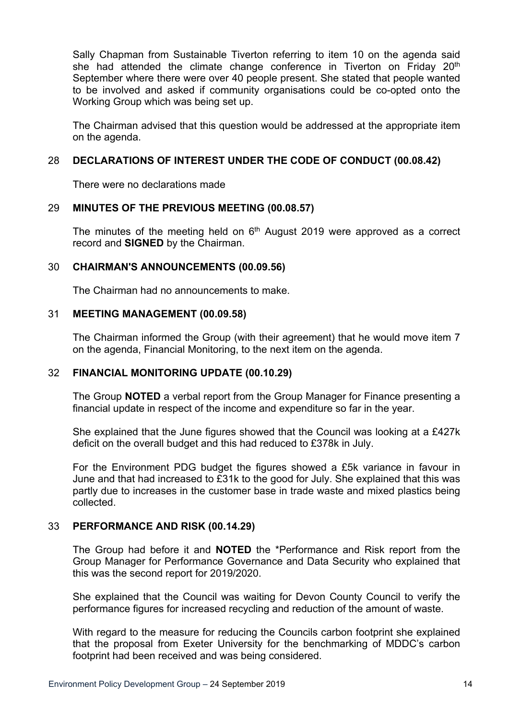Sally Chapman from Sustainable Tiverton referring to item 10 on the agenda said she had attended the climate change conference in Tiverton on Friday 20<sup>th</sup> September where there were over 40 people present. She stated that people wanted to be involved and asked if community organisations could be co-opted onto the Working Group which was being set up.

The Chairman advised that this question would be addressed at the appropriate item on the agenda.

## 28 **DECLARATIONS OF INTEREST UNDER THE CODE OF CONDUCT (00.08.42)**

There were no declarations made

## 29 **MINUTES OF THE PREVIOUS MEETING (00.08.57)**

The minutes of the meeting held on  $6<sup>th</sup>$  August 2019 were approved as a correct record and **SIGNED** by the Chairman.

### 30 **CHAIRMAN'S ANNOUNCEMENTS (00.09.56)**

The Chairman had no announcements to make.

#### 31 **MEETING MANAGEMENT (00.09.58)**

The Chairman informed the Group (with their agreement) that he would move item 7 on the agenda, Financial Monitoring, to the next item on the agenda.

### 32 **FINANCIAL MONITORING UPDATE (00.10.29)**

The Group **NOTED** a verbal report from the Group Manager for Finance presenting a financial update in respect of the income and expenditure so far in the year.

She explained that the June figures showed that the Council was looking at a £427k deficit on the overall budget and this had reduced to £378k in July.

For the Environment PDG budget the figures showed a £5k variance in favour in June and that had increased to £31k to the good for July. She explained that this was partly due to increases in the customer base in trade waste and mixed plastics being collected.

### 33 **PERFORMANCE AND RISK (00.14.29)**

The Group had before it and **NOTED** the \*Performance and Risk report from the Group Manager for Performance Governance and Data Security who explained that this was the second report for 2019/2020.

She explained that the Council was waiting for Devon County Council to verify the performance figures for increased recycling and reduction of the amount of waste.

With regard to the measure for reducing the Councils carbon footprint she explained that the proposal from Exeter University for the benchmarking of MDDC's carbon footprint had been received and was being considered.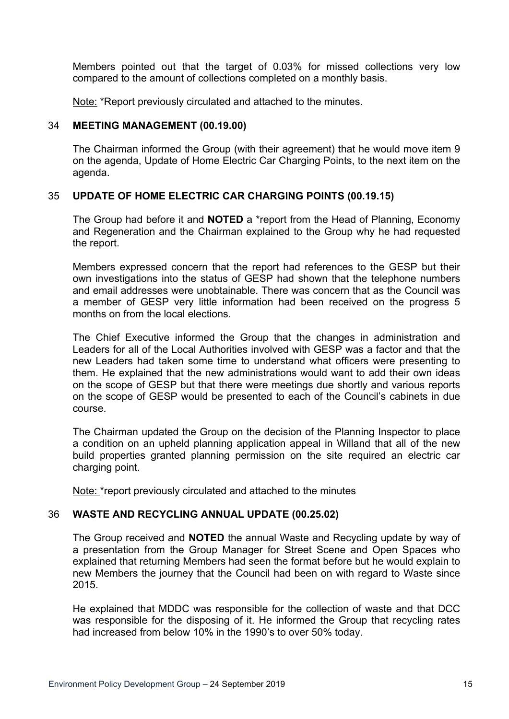Members pointed out that the target of 0.03% for missed collections very low compared to the amount of collections completed on a monthly basis.

Note: \*Report previously circulated and attached to the minutes.

### 34 **MEETING MANAGEMENT (00.19.00)**

The Chairman informed the Group (with their agreement) that he would move item 9 on the agenda, Update of Home Electric Car Charging Points, to the next item on the agenda.

# 35 **UPDATE OF HOME ELECTRIC CAR CHARGING POINTS (00.19.15)**

The Group had before it and **NOTED** a \*report from the Head of Planning, Economy and Regeneration and the Chairman explained to the Group why he had requested the report.

Members expressed concern that the report had references to the GESP but their own investigations into the status of GESP had shown that the telephone numbers and email addresses were unobtainable. There was concern that as the Council was a member of GESP very little information had been received on the progress 5 months on from the local elections.

The Chief Executive informed the Group that the changes in administration and Leaders for all of the Local Authorities involved with GESP was a factor and that the new Leaders had taken some time to understand what officers were presenting to them. He explained that the new administrations would want to add their own ideas on the scope of GESP but that there were meetings due shortly and various reports on the scope of GESP would be presented to each of the Council's cabinets in due course.

The Chairman updated the Group on the decision of the Planning Inspector to place a condition on an upheld planning application appeal in Willand that all of the new build properties granted planning permission on the site required an electric car charging point.

Note: \*report previously circulated and attached to the minutes

# 36 **WASTE AND RECYCLING ANNUAL UPDATE (00.25.02)**

The Group received and **NOTED** the annual Waste and Recycling update by way of a presentation from the Group Manager for Street Scene and Open Spaces who explained that returning Members had seen the format before but he would explain to new Members the journey that the Council had been on with regard to Waste since 2015.

He explained that MDDC was responsible for the collection of waste and that DCC was responsible for the disposing of it. He informed the Group that recycling rates had increased from below 10% in the 1990's to over 50% today.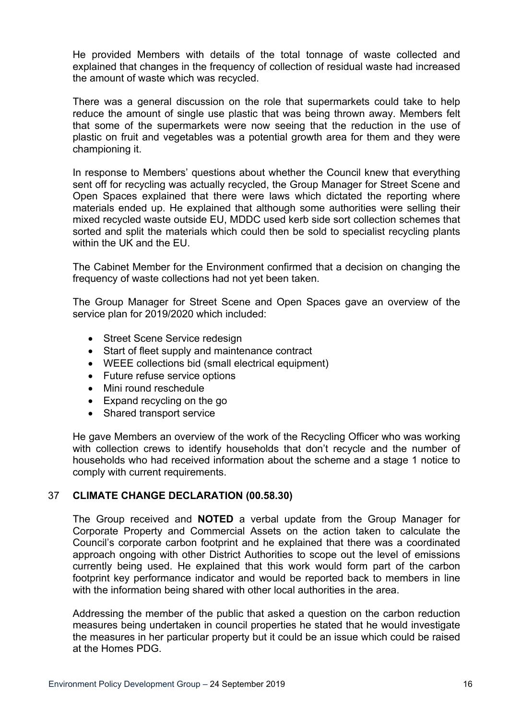He provided Members with details of the total tonnage of waste collected and explained that changes in the frequency of collection of residual waste had increased the amount of waste which was recycled.

There was a general discussion on the role that supermarkets could take to help reduce the amount of single use plastic that was being thrown away. Members felt that some of the supermarkets were now seeing that the reduction in the use of plastic on fruit and vegetables was a potential growth area for them and they were championing it.

In response to Members' questions about whether the Council knew that everything sent off for recycling was actually recycled, the Group Manager for Street Scene and Open Spaces explained that there were laws which dictated the reporting where materials ended up. He explained that although some authorities were selling their mixed recycled waste outside EU, MDDC used kerb side sort collection schemes that sorted and split the materials which could then be sold to specialist recycling plants within the UK and the EU.

The Cabinet Member for the Environment confirmed that a decision on changing the frequency of waste collections had not yet been taken.

The Group Manager for Street Scene and Open Spaces gave an overview of the service plan for 2019/2020 which included:

- Street Scene Service redesign
- Start of fleet supply and maintenance contract
- WEEE collections bid (small electrical equipment)
- Future refuse service options
- Mini round reschedule
- Expand recycling on the go
- Shared transport service

He gave Members an overview of the work of the Recycling Officer who was working with collection crews to identify households that don't recycle and the number of households who had received information about the scheme and a stage 1 notice to comply with current requirements.

### 37 **CLIMATE CHANGE DECLARATION (00.58.30)**

The Group received and **NOTED** a verbal update from the Group Manager for Corporate Property and Commercial Assets on the action taken to calculate the Council's corporate carbon footprint and he explained that there was a coordinated approach ongoing with other District Authorities to scope out the level of emissions currently being used. He explained that this work would form part of the carbon footprint key performance indicator and would be reported back to members in line with the information being shared with other local authorities in the area.

Addressing the member of the public that asked a question on the carbon reduction measures being undertaken in council properties he stated that he would investigate the measures in her particular property but it could be an issue which could be raised at the Homes PDG.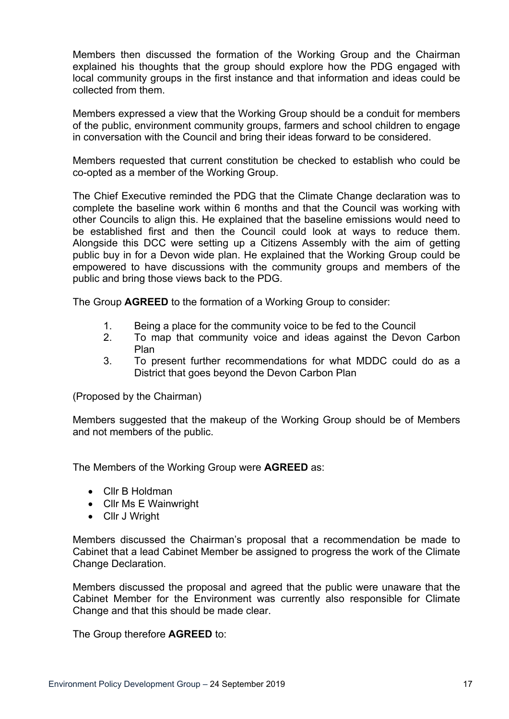Members then discussed the formation of the Working Group and the Chairman explained his thoughts that the group should explore how the PDG engaged with local community groups in the first instance and that information and ideas could be collected from them.

Members expressed a view that the Working Group should be a conduit for members of the public, environment community groups, farmers and school children to engage in conversation with the Council and bring their ideas forward to be considered.

Members requested that current constitution be checked to establish who could be co-opted as a member of the Working Group.

The Chief Executive reminded the PDG that the Climate Change declaration was to complete the baseline work within 6 months and that the Council was working with other Councils to align this. He explained that the baseline emissions would need to be established first and then the Council could look at ways to reduce them. Alongside this DCC were setting up a Citizens Assembly with the aim of getting public buy in for a Devon wide plan. He explained that the Working Group could be empowered to have discussions with the community groups and members of the public and bring those views back to the PDG.

The Group **AGREED** to the formation of a Working Group to consider:

- 1. Being a place for the community voice to be fed to the Council
- 2. To map that community voice and ideas against the Devon Carbon Plan
- 3. To present further recommendations for what MDDC could do as a District that goes beyond the Devon Carbon Plan

(Proposed by the Chairman)

Members suggested that the makeup of the Working Group should be of Members and not members of the public.

The Members of the Working Group were **AGREED** as:

- Cllr B Holdman
- Cllr Ms E Wainwright
- Cllr J Wright

Members discussed the Chairman's proposal that a recommendation be made to Cabinet that a lead Cabinet Member be assigned to progress the work of the Climate Change Declaration.

Members discussed the proposal and agreed that the public were unaware that the Cabinet Member for the Environment was currently also responsible for Climate Change and that this should be made clear.

The Group therefore **AGREED** to: